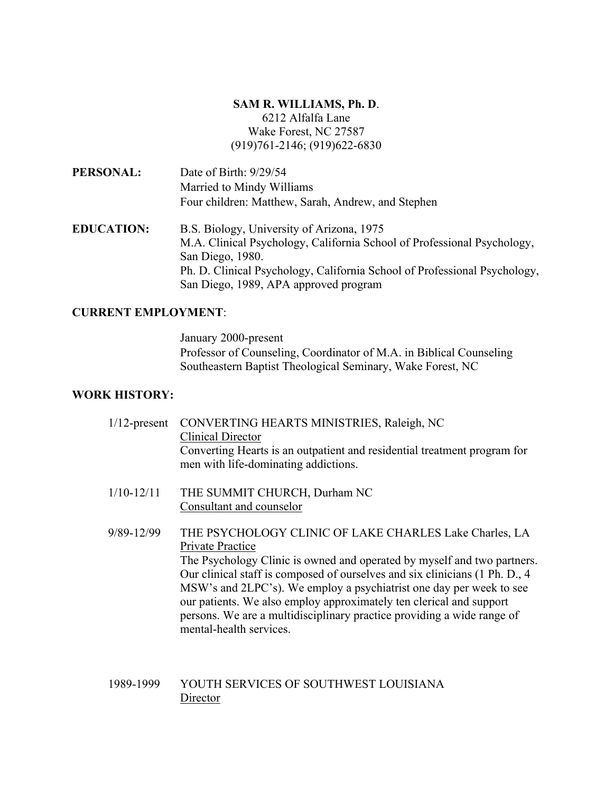## **SAM R. WILLIAMS, Ph. D**. 6212 Alfalfa Lane Wake Forest, NC 27587

(919)761-2146; (919)622-6830

**PERSONAL:** Date of Birth: 9/29/54 Married to Mindy Williams Four children: Matthew, Sarah, Andrew, and Stephen

**EDUCATION:** B.S. Biology, University of Arizona, 1975 M.A. Clinical Psychology, California School of Professional Psychology, San Diego, 1980. Ph. D. Clinical Psychology, California School of Professional Psychology, San Diego, 1989, APA approved program

## **CURRENT EMPLOYMENT**:

January 2000-present Professor of Counseling, Coordinator of M.A. in Biblical Counseling Southeastern Baptist Theological Seminary, Wake Forest, NC

## **WORK HISTORY:**

| $1/12$ -present | CONVERTING HEARTS MINISTRIES, Raleigh, NC<br><b>Clinical Director</b><br>Converting Hearts is an outpatient and residential treatment program for<br>men with life-dominating addictions. |
|-----------------|-------------------------------------------------------------------------------------------------------------------------------------------------------------------------------------------|
| $1/10 - 12/11$  | THE SUMMIT CHURCH, Durham NC<br>Consultant and counselor                                                                                                                                  |
| 9/89-12/99      | THE PSYCHOLOGY CLINIC OF LAKE CHARLES Lake Charles, LA<br>Private Practice<br>The Psychology Clinic is owned and operated by myself and two partners                                      |

The Psychology Clinic is owned and operated by myself and two partners. Our clinical staff is composed of ourselves and six clinicians (1 Ph. D., 4 MSW's and 2LPC's). We employ a psychiatrist one day per week to see our patients. We also employ approximately ten clerical and support persons. We are a multidisciplinary practice providing a wide range of mental-health services.

## 1989-1999 YOUTH SERVICES OF SOUTHWEST LOUISIANA **Director**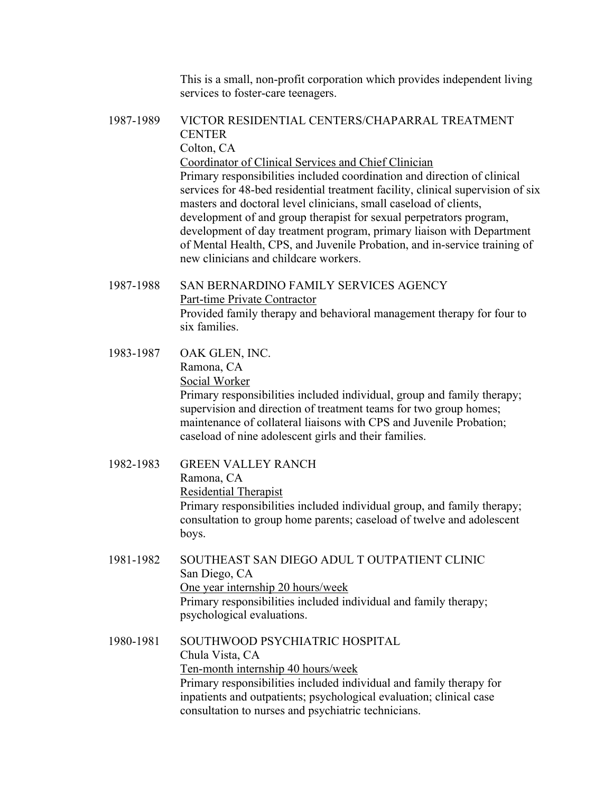This is a small, non-profit corporation which provides independent living services to foster-care teenagers.

# 1987-1989 VICTOR RESIDENTIAL CENTERS/CHAPARRAL TREATMENT **CENTER** Colton, CA Coordinator of Clinical Services and Chief Clinician Primary responsibilities included coordination and direction of clinical services for 48-bed residential treatment facility, clinical supervision of six masters and doctoral level clinicians, small caseload of clients, development of and group therapist for sexual perpetrators program, development of day treatment program, primary liaison with Department of Mental Health, CPS, and Juvenile Probation, and in-service training of new clinicians and childcare workers.

- 1987-1988 SAN BERNARDINO FAMILY SERVICES AGENCY Part-time Private Contractor Provided family therapy and behavioral management therapy for four to six families.
- 1983-1987 OAK GLEN, INC. Ramona, CA Social Worker Primary responsibilities included individual, group and family therapy; supervision and direction of treatment teams for two group homes; maintenance of collateral liaisons with CPS and Juvenile Probation; caseload of nine adolescent girls and their families.
- 1982-1983 GREEN VALLEY RANCH Ramona, CA Residential Therapist Primary responsibilities included individual group, and family therapy; consultation to group home parents; caseload of twelve and adolescent boys.
- 1981-1982 SOUTHEAST SAN DIEGO ADUL T OUTPATIENT CLINIC San Diego, CA One year internship 20 hours/week Primary responsibilities included individual and family therapy; psychological evaluations.
- 1980-1981 SOUTHWOOD PSYCHIATRIC HOSPITAL Chula Vista, CA Ten-month internship 40 hours/week Primary responsibilities included individual and family therapy for inpatients and outpatients; psychological evaluation; clinical case consultation to nurses and psychiatric technicians.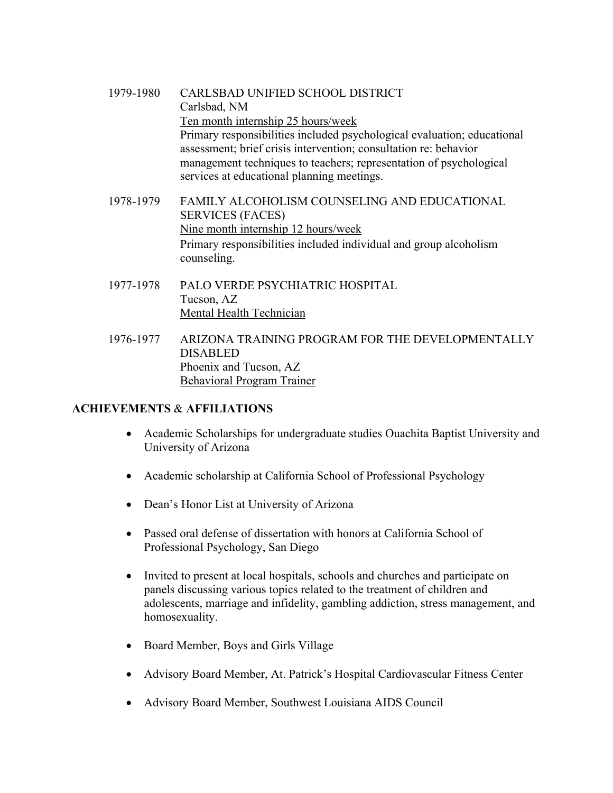- 1979-1980 CARLSBAD UNIFIED SCHOOL DISTRICT Carlsbad, NM Ten month internship 25 hours/week Primary responsibilities included psychological evaluation; educational assessment; brief crisis intervention; consultation re: behavior management techniques to teachers; representation of psychological services at educational planning meetings.
- 1978-1979 FAMILY ALCOHOLISM COUNSELING AND EDUCATIONAL SERVICES (FACES) Nine month internship 12 hours/week Primary responsibilities included individual and group alcoholism counseling.
- 1977-1978 PALO VERDE PSYCHIATRIC HOSPITAL Tucson, AZ Mental Health Technician
- 1976-1977 ARIZONA TRAINING PROGRAM FOR THE DEVELOPMENTALLY DISABLED Phoenix and Tucson, AZ Behavioral Program Trainer

# **ACHIEVEMENTS** & **AFFILIATIONS**

- Academic Scholarships for undergraduate studies Ouachita Baptist University and University of Arizona
- Academic scholarship at California School of Professional Psychology
- Dean's Honor List at University of Arizona
- Passed oral defense of dissertation with honors at California School of Professional Psychology, San Diego
- Invited to present at local hospitals, schools and churches and participate on panels discussing various topics related to the treatment of children and adolescents, marriage and infidelity, gambling addiction, stress management, and homosexuality.
- Board Member, Boys and Girls Village
- Advisory Board Member, At. Patrick's Hospital Cardiovascular Fitness Center
- Advisory Board Member, Southwest Louisiana AIDS Council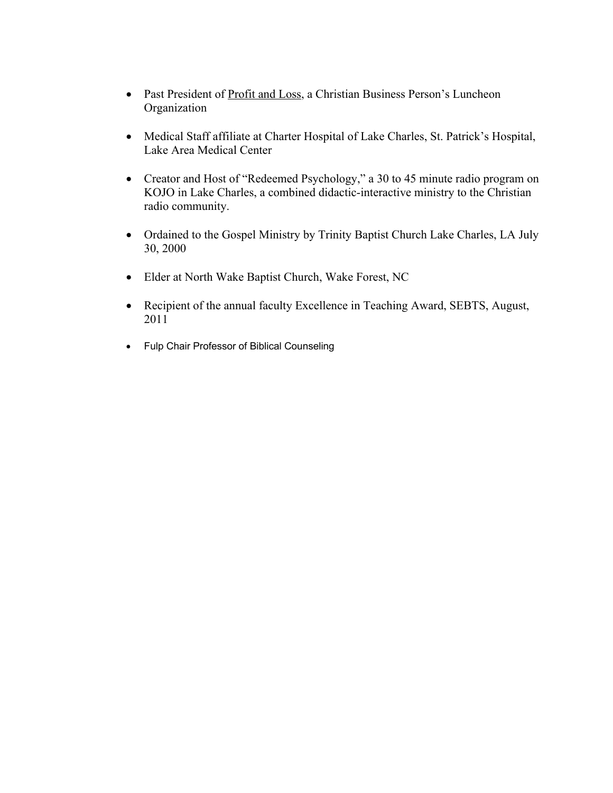- Past President of Profit and Loss, a Christian Business Person's Luncheon Organization
- Medical Staff affiliate at Charter Hospital of Lake Charles, St. Patrick's Hospital, Lake Area Medical Center
- Creator and Host of "Redeemed Psychology," a 30 to 45 minute radio program on KOJO in Lake Charles, a combined didactic-interactive ministry to the Christian radio community.
- Ordained to the Gospel Ministry by Trinity Baptist Church Lake Charles, LA July 30, 2000
- Elder at North Wake Baptist Church, Wake Forest, NC
- Recipient of the annual faculty Excellence in Teaching Award, SEBTS, August, 2011
- Fulp Chair Professor of Biblical Counseling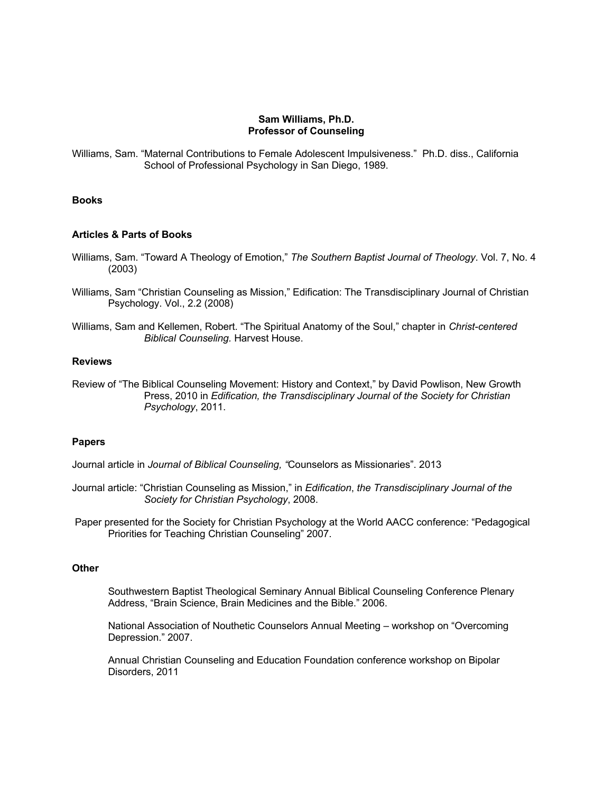### **Sam Williams, Ph.D. Professor of Counseling**

Williams, Sam. "Maternal Contributions to Female Adolescent Impulsiveness." Ph.D. diss., California School of Professional Psychology in San Diego, 1989.

### **Books**

#### **Articles & Parts of Books**

- Williams, Sam. "Toward A Theology of Emotion," *The Southern Baptist Journal of Theology*. Vol. 7, No. 4 (2003)
- Williams, Sam "Christian Counseling as Mission," Edification: The Transdisciplinary Journal of Christian Psychology. Vol., 2.2 (2008)
- Williams, Sam and Kellemen, Robert. "The Spiritual Anatomy of the Soul," chapter in *Christ-centered Biblical Counseling.* Harvest House.

#### **Reviews**

Review of "The Biblical Counseling Movement: History and Context," by David Powlison, New Growth Press, 2010 in *Edification, the Transdisciplinary Journal of the Society for Christian Psychology*, 2011.

### **Papers**

Journal article in *Journal of Biblical Counseling, "*Counselors as Missionaries". 2013

- Journal article: "Christian Counseling as Mission," in *Edification*, *the Transdisciplinary Journal of the Society for Christian Psychology*, 2008.
- Paper presented for the Society for Christian Psychology at the World AACC conference: "Pedagogical Priorities for Teaching Christian Counseling" 2007.

#### **Other**

Southwestern Baptist Theological Seminary Annual Biblical Counseling Conference Plenary Address, "Brain Science, Brain Medicines and the Bible." 2006.

National Association of Nouthetic Counselors Annual Meeting – workshop on "Overcoming Depression." 2007.

Annual Christian Counseling and Education Foundation conference workshop on Bipolar Disorders, 2011